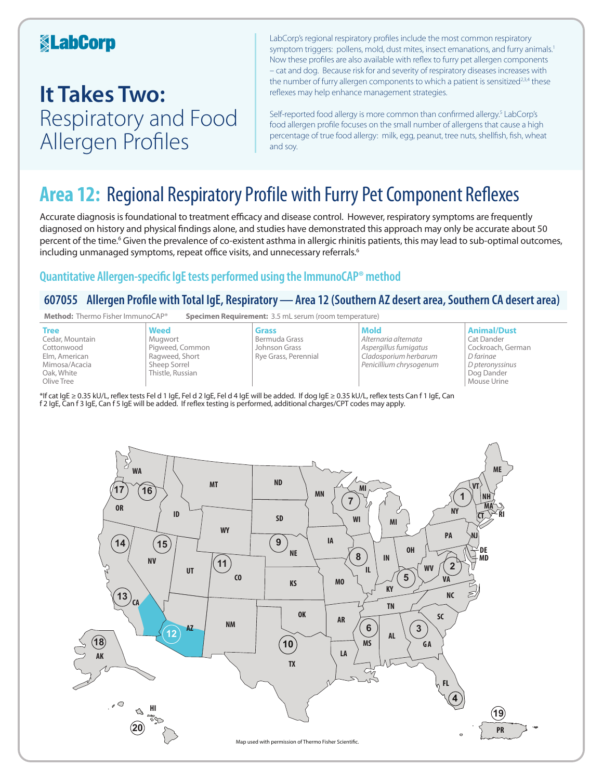### **KabCorp**

## **It Takes Two:**  Respiratory and Food Allergen Profiles

LabCorp's regional respiratory profiles include the most common respiratory symptom triggers: pollens, mold, dust mites, insect emanations, and furry animals.<sup>1</sup> Now these profiles are also available with reflex to furry pet allergen components – cat and dog. Because risk for and severity of respiratory diseases increases with the number of furry allergen components to which a patient is sensitized<sup>2,3,4</sup> these reflexes may help enhance management strategies.

Self-reported food allergy is more common than confirmed allergy.<sup>5</sup> LabCorp's food allergen profile focuses on the small number of allergens that cause a high percentage of true food allergy: milk, egg, peanut, tree nuts, shellfish, fish, wheat and soy.

## **Area 12:** Regional Respiratory Profile with Furry Pet Component Reflexes

Accurate diagnosis is foundational to treatment efficacy and disease control. However, respiratory symptoms are frequently diagnosed on history and physical findings alone, and studies have demonstrated this approach may only be accurate about 50 percent of the time.<sup>6</sup> Given the prevalence of co-existent asthma in allergic rhinitis patients, this may lead to sub-optimal outcomes, including unmanaged symptoms, repeat office visits, and unnecessary referrals.<sup>6</sup>

### **Quantitative Allergen-specific IgE tests performed using the ImmunoCAP® method**

### **607055 Allergen Profile with Total IgE, Respiratory—Area 12 (Southern AZ desert area, Southern CA desert area)**